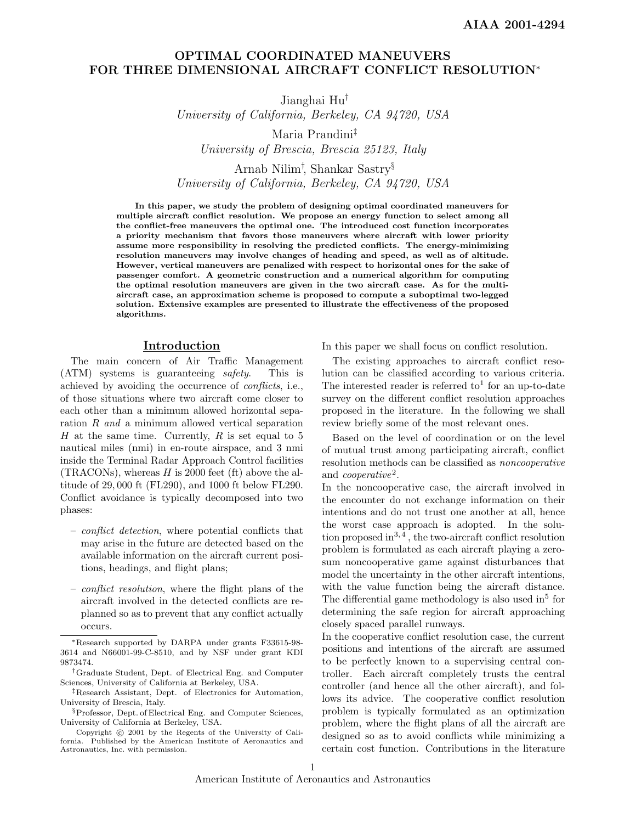# OPTIMAL COORDINATED MANEUVERS FOR THREE DIMENSIONAL AIRCRAFT CONFLICT RESOLUTION<sup>∗</sup>

Jianghai Hu†

University of California, Berkeley, CA 94720, USA

Maria Prandini‡ University of Brescia, Brescia 25123, Italy

Arnab Nilim† , Shankar Sastry§ University of California, Berkeley, CA 94720, USA

In this paper, we study the problem of designing optimal coordinated maneuvers for multiple aircraft conflict resolution. We propose an energy function to select among all the conflict-free maneuvers the optimal one. The introduced cost function incorporates a priority mechanism that favors those maneuvers where aircraft with lower priority assume more responsibility in resolving the predicted conflicts. The energy-minimizing resolution maneuvers may involve changes of heading and speed, as well as of altitude. However, vertical maneuvers are penalized with respect to horizontal ones for the sake of passenger comfort. A geometric construction and a numerical algorithm for computing the optimal resolution maneuvers are given in the two aircraft case. As for the multiaircraft case, an approximation scheme is proposed to compute a suboptimal two-legged solution. Extensive examples are presented to illustrate the effectiveness of the proposed algorithms.

## Introduction

The main concern of Air Traffic Management (ATM) systems is guaranteeing safety. This is achieved by avoiding the occurrence of conflicts, i.e., of those situations where two aircraft come closer to each other than a minimum allowed horizontal separation R and a minimum allowed vertical separation H at the same time. Currently, R is set equal to 5 nautical miles (nmi) in en-route airspace, and 3 nmi inside the Terminal Radar Approach Control facilities (TRACONs), whereas  $H$  is 2000 feet (ft) above the altitude of 29, 000 ft (FL290), and 1000 ft below FL290. Conflict avoidance is typically decomposed into two phases:

- conflict detection, where potential conflicts that may arise in the future are detected based on the available information on the aircraft current positions, headings, and flight plans;
- conflict resolution, where the flight plans of the aircraft involved in the detected conflicts are replanned so as to prevent that any conflict actually occurs.

In this paper we shall focus on conflict resolution.

The existing approaches to aircraft conflict resolution can be classified according to various criteria. The interested reader is referred to<sup>1</sup> for an up-to-date survey on the different conflict resolution approaches proposed in the literature. In the following we shall review briefly some of the most relevant ones.

Based on the level of coordination or on the level of mutual trust among participating aircraft, conflict resolution methods can be classified as noncooperative and *cooperative*<sup>2</sup>.

In the noncooperative case, the aircraft involved in the encounter do not exchange information on their intentions and do not trust one another at all, hence the worst case approach is adopted. In the solution proposed in  $3, 4$ , the two-aircraft conflict resolution problem is formulated as each aircraft playing a zerosum noncooperative game against disturbances that model the uncertainty in the other aircraft intentions, with the value function being the aircraft distance. The differential game methodology is also used in<sup>5</sup> for determining the safe region for aircraft approaching closely spaced parallel runways.

In the cooperative conflict resolution case, the current positions and intentions of the aircraft are assumed to be perfectly known to a supervising central controller. Each aircraft completely trusts the central controller (and hence all the other aircraft), and follows its advice. The cooperative conflict resolution problem is typically formulated as an optimization problem, where the flight plans of all the aircraft are designed so as to avoid conflicts while minimizing a certain cost function. Contributions in the literature

<sup>∗</sup>Research supported by DARPA under grants F33615-98- 3614 and N66001-99-C-8510, and by NSF under grant KDI 9873474.

<sup>†</sup>Graduate Student, Dept. of Electrical Eng. and Computer Sciences, University of California at Berkeley, USA.

<sup>‡</sup>Research Assistant, Dept. of Electronics for Automation, University of Brescia, Italy.

<sup>§</sup>Professor, Dept. of Electrical Eng. and Computer Sciences, University of California at Berkeley, USA.

Copyright  $\odot$  2001 by the Regents of the University of California. Published by the American Institute of Aeronautics and Astronautics, Inc. with permission.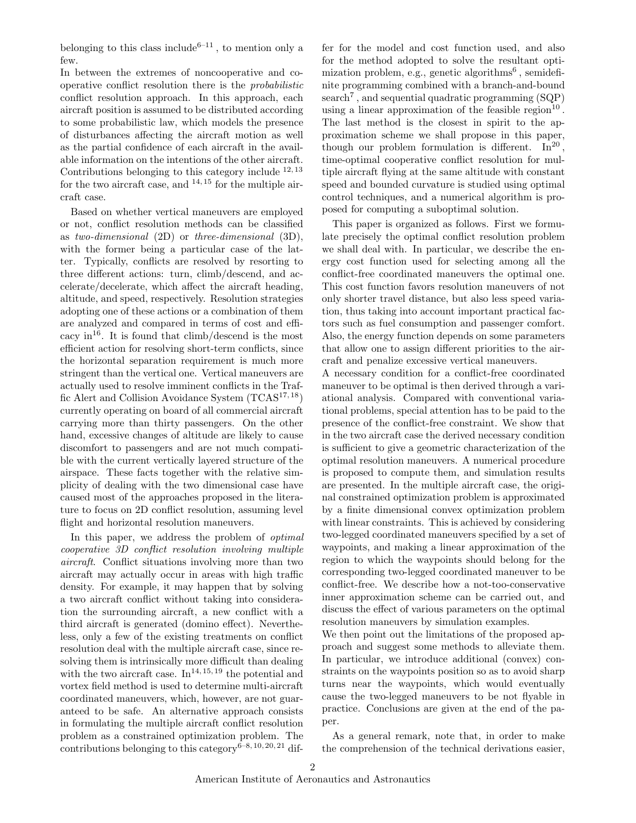belonging to this class include<sup>6–11</sup>, to mention only a few.

In between the extremes of noncooperative and cooperative conflict resolution there is the probabilistic conflict resolution approach. In this approach, each aircraft position is assumed to be distributed according to some probabilistic law, which models the presence of disturbances affecting the aircraft motion as well as the partial confidence of each aircraft in the available information on the intentions of the other aircraft. Contributions belonging to this category include  $12,13$ for the two aircraft case, and  $14,15$  for the multiple aircraft case.

Based on whether vertical maneuvers are employed or not, conflict resolution methods can be classified as two-dimensional (2D) or three-dimensional (3D), with the former being a particular case of the latter. Typically, conflicts are resolved by resorting to three different actions: turn, climb/descend, and accelerate/decelerate, which affect the aircraft heading, altitude, and speed, respectively. Resolution strategies adopting one of these actions or a combination of them are analyzed and compared in terms of cost and efficacy in<sup>16</sup>. It is found that climb/descend is the most efficient action for resolving short-term conflicts, since the horizontal separation requirement is much more stringent than the vertical one. Vertical maneuvers are actually used to resolve imminent conflicts in the Traffic Alert and Collision Avoidance System  $(TCAS^{17,18})$ currently operating on board of all commercial aircraft carrying more than thirty passengers. On the other hand, excessive changes of altitude are likely to cause discomfort to passengers and are not much compatible with the current vertically layered structure of the airspace. These facts together with the relative simplicity of dealing with the two dimensional case have caused most of the approaches proposed in the literature to focus on 2D conflict resolution, assuming level flight and horizontal resolution maneuvers.

In this paper, we address the problem of optimal cooperative 3D conflict resolution involving multiple aircraft. Conflict situations involving more than two aircraft may actually occur in areas with high traffic density. For example, it may happen that by solving a two aircraft conflict without taking into consideration the surrounding aircraft, a new conflict with a third aircraft is generated (domino effect). Nevertheless, only a few of the existing treatments on conflict resolution deal with the multiple aircraft case, since resolving them is intrinsically more difficult than dealing with the two aircraft case.  $In^{14, 15, 19}$  the potential and vortex field method is used to determine multi-aircraft coordinated maneuvers, which, however, are not guaranteed to be safe. An alternative approach consists in formulating the multiple aircraft conflict resolution problem as a constrained optimization problem. The contributions belonging to this category<sup>6–8, 10, 20, 21</sup> differ for the model and cost function used, and also for the method adopted to solve the resultant optimization problem, e.g., genetic algorithms<sup>6</sup>, semidefinite programming combined with a branch-and-bound search<sup>7</sup>, and sequential quadratic programming (SQP) using a linear approximation of the feasible region $10$ . The last method is the closest in spirit to the approximation scheme we shall propose in this paper, though our problem formulation is different.  $\text{In}^{20}$ , time-optimal cooperative conflict resolution for multiple aircraft flying at the same altitude with constant speed and bounded curvature is studied using optimal control techniques, and a numerical algorithm is proposed for computing a suboptimal solution.

This paper is organized as follows. First we formulate precisely the optimal conflict resolution problem we shall deal with. In particular, we describe the energy cost function used for selecting among all the conflict-free coordinated maneuvers the optimal one. This cost function favors resolution maneuvers of not only shorter travel distance, but also less speed variation, thus taking into account important practical factors such as fuel consumption and passenger comfort. Also, the energy function depends on some parameters that allow one to assign different priorities to the aircraft and penalize excessive vertical maneuvers.

A necessary condition for a conflict-free coordinated maneuver to be optimal is then derived through a variational analysis. Compared with conventional variational problems, special attention has to be paid to the presence of the conflict-free constraint. We show that in the two aircraft case the derived necessary condition is sufficient to give a geometric characterization of the optimal resolution maneuvers. A numerical procedure is proposed to compute them, and simulation results are presented. In the multiple aircraft case, the original constrained optimization problem is approximated by a finite dimensional convex optimization problem with linear constraints. This is achieved by considering two-legged coordinated maneuvers specified by a set of waypoints, and making a linear approximation of the region to which the waypoints should belong for the corresponding two-legged coordinated maneuver to be conflict-free. We describe how a not-too-conservative inner approximation scheme can be carried out, and discuss the effect of various parameters on the optimal resolution maneuvers by simulation examples.

We then point out the limitations of the proposed approach and suggest some methods to alleviate them. In particular, we introduce additional (convex) constraints on the waypoints position so as to avoid sharp turns near the waypoints, which would eventually cause the two-legged maneuvers to be not flyable in practice. Conclusions are given at the end of the paper.

As a general remark, note that, in order to make the comprehension of the technical derivations easier,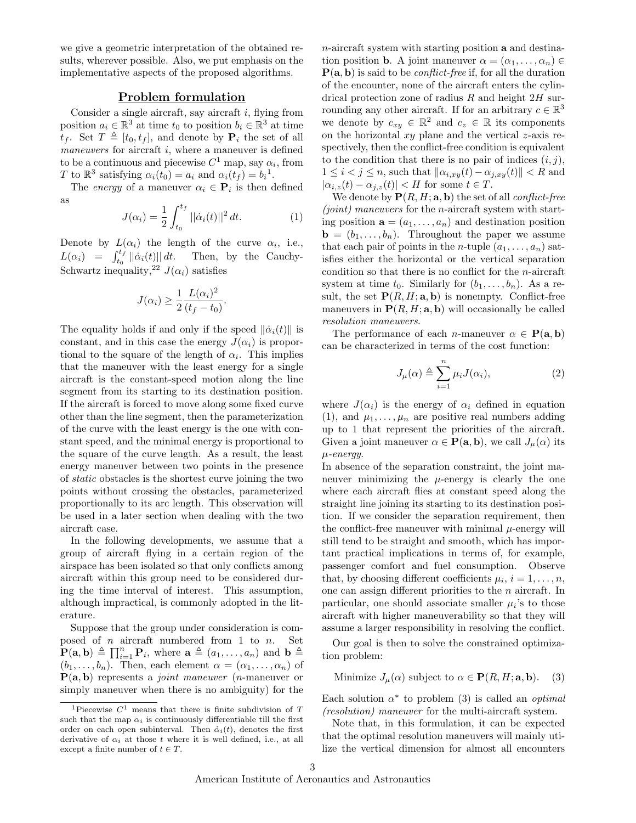we give a geometric interpretation of the obtained results, wherever possible. Also, we put emphasis on the implementative aspects of the proposed algorithms.

# Problem formulation

Consider a single aircraft, say aircraft  $i$ , flying from position  $a_i \in \mathbb{R}^3$  at time  $t_0$  to position  $b_i \in \mathbb{R}^3$  at time  $t_f$ . Set  $T \triangleq [t_0, t_f]$ , and denote by  $P_i$  the set of all  $manewers$  for aircraft  $i$ , where a maneuver is defined to be a continuous and piecewise  $C^1$  map, say  $\alpha_i$ , from T to  $\mathbb{R}^3$  satisfying  $\alpha_i(t_0) = a_i$  and  $\alpha_i(t_f) = b_i^1$ .

The *energy* of a maneuver  $\alpha_i \in \mathbf{P}_i$  is then defined as

$$
J(\alpha_i) = \frac{1}{2} \int_{t_0}^{t_f} ||\dot{\alpha}_i(t)||^2 dt.
$$
 (1)

.

Denote by  $L(\alpha_i)$  the length of the curve  $\alpha_i$ , i.e.,  $L(\alpha_i) = \int_{t_0}^{t_f} ||\dot{\alpha_i}(t)|| dt$ . Then, by the Cauchy-Schwartz inequality,<sup>22</sup>  $J(\alpha_i)$  satisfies

$$
J(\alpha_i) \ge \frac{1}{2} \frac{L(\alpha_i)^2}{(t_f - t_0)}
$$

The equality holds if and only if the speed  $\|\dot{\alpha}_i(t)\|$  is constant, and in this case the energy  $J(\alpha_i)$  is proportional to the square of the length of  $\alpha_i$ . This implies that the maneuver with the least energy for a single aircraft is the constant-speed motion along the line segment from its starting to its destination position. If the aircraft is forced to move along some fixed curve other than the line segment, then the parameterization of the curve with the least energy is the one with constant speed, and the minimal energy is proportional to the square of the curve length. As a result, the least energy maneuver between two points in the presence of static obstacles is the shortest curve joining the two points without crossing the obstacles, parameterized proportionally to its arc length. This observation will be used in a later section when dealing with the two aircraft case.

In the following developments, we assume that a group of aircraft flying in a certain region of the airspace has been isolated so that only conflicts among aircraft within this group need to be considered during the time interval of interest. This assumption, although impractical, is commonly adopted in the literature.

Suppose that the group under consideration is composed of  $n$  aircraft numbered from 1 to  $n$ . Set  $\mathbf{P}(\mathbf{a},\mathbf{b}) \triangleq \prod_{i=1}^n \mathbf{P}_i$ , where  $\mathbf{a} \triangleq (a_1,\ldots,a_n)$  and  $\mathbf{b} \triangleq$  $(b_1, \ldots, b_n)$ . Then, each element  $\alpha = (\alpha_1, \ldots, \alpha_n)$  of  $P(a, b)$  represents a *joint maneuver* (*n*-maneuver or simply maneuver when there is no ambiguity) for the n-aircraft system with starting position a and destination position **b**. A joint maneuver  $\alpha = (\alpha_1, \ldots, \alpha_n) \in$  $P(a, b)$  is said to be *conflict-free* if, for all the duration of the encounter, none of the aircraft enters the cylindrical protection zone of radius R and height  $2H$  surrounding any other aircraft. If for an arbitrary  $c \in \mathbb{R}^3$ we denote by  $c_{xy} \in \mathbb{R}^2$  and  $c_z \in \mathbb{R}$  its components on the horizontal  $xy$  plane and the vertical  $z$ -axis respectively, then the conflict-free condition is equivalent to the condition that there is no pair of indices  $(i, j)$ ,  $1 \leq i < j \leq n$ , such that  $\|\alpha_{i,xy}(t) - \alpha_{j,xy}(t)\| < R$  and  $|\alpha_{i,z}(t) - \alpha_{i,z}(t)| < H$  for some  $t \in T$ .

We denote by  $\mathbf{P}(R, H; \mathbf{a}, \mathbf{b})$  the set of all *conflict-free* (*joint*) maneuvers for the *n*-aircraft system with starting position  $\mathbf{a} = (a_1, \ldots, a_n)$  and destination position  $\mathbf{b} = (b_1, \ldots, b_n)$ . Throughout the paper we assume that each pair of points in the *n*-tuple  $(a_1, \ldots, a_n)$  satisfies either the horizontal or the vertical separation condition so that there is no conflict for the n-aircraft system at time  $t_0$ . Similarly for  $(b_1, \ldots, b_n)$ . As a result, the set  $\mathbf{P}(R, H; \mathbf{a}, \mathbf{b})$  is nonempty. Conflict-free maneuvers in  $\mathbf{P}(R, H; \mathbf{a}, \mathbf{b})$  will occasionally be called resolution maneuvers.

The performance of each *n*-maneuver  $\alpha \in \mathbf{P}(\mathbf{a}, \mathbf{b})$ can be characterized in terms of the cost function:

$$
J_{\mu}(\alpha) \triangleq \sum_{i=1}^{n} \mu_i J(\alpha_i), \qquad (2)
$$

where  $J(\alpha_i)$  is the energy of  $\alpha_i$  defined in equation (1), and  $\mu_1, \ldots, \mu_n$  are positive real numbers adding up to 1 that represent the priorities of the aircraft. Given a joint maneuver  $\alpha \in \mathbf{P}(\mathbf{a}, \mathbf{b})$ , we call  $J_{\mu}(\alpha)$  its µ-energy.

In absence of the separation constraint, the joint maneuver minimizing the  $\mu$ -energy is clearly the one where each aircraft flies at constant speed along the straight line joining its starting to its destination position. If we consider the separation requirement, then the conflict-free maneuver with minimal  $\mu$ -energy will still tend to be straight and smooth, which has important practical implications in terms of, for example, passenger comfort and fuel consumption. Observe that, by choosing different coefficients  $\mu_i$ ,  $i = 1, \ldots, n$ , one can assign different priorities to the n aircraft. In particular, one should associate smaller  $\mu_i$ 's to those aircraft with higher maneuverability so that they will assume a larger responsibility in resolving the conflict.

Our goal is then to solve the constrained optimization problem:

Minimize  $J_\mu(\alpha)$  subject to  $\alpha \in \mathbf{P}(R, H; \mathbf{a}, \mathbf{b})$ . (3)

Each solution  $\alpha^*$  to problem (3) is called an *optimal* (resolution) maneuver for the multi-aircraft system.

Note that, in this formulation, it can be expected that the optimal resolution maneuvers will mainly utilize the vertical dimension for almost all encounters

<sup>&</sup>lt;sup>1</sup>Piecewise  $C^1$  means that there is finite subdivision of  $T$ such that the map  $\alpha_i$  is continuously differentiable till the first order on each open subinterval. Then  $\dot{\alpha}_i(t)$ , denotes the first derivative of  $\alpha_i$  at those t where it is well defined, i.e., at all except a finite number of  $t \in T.$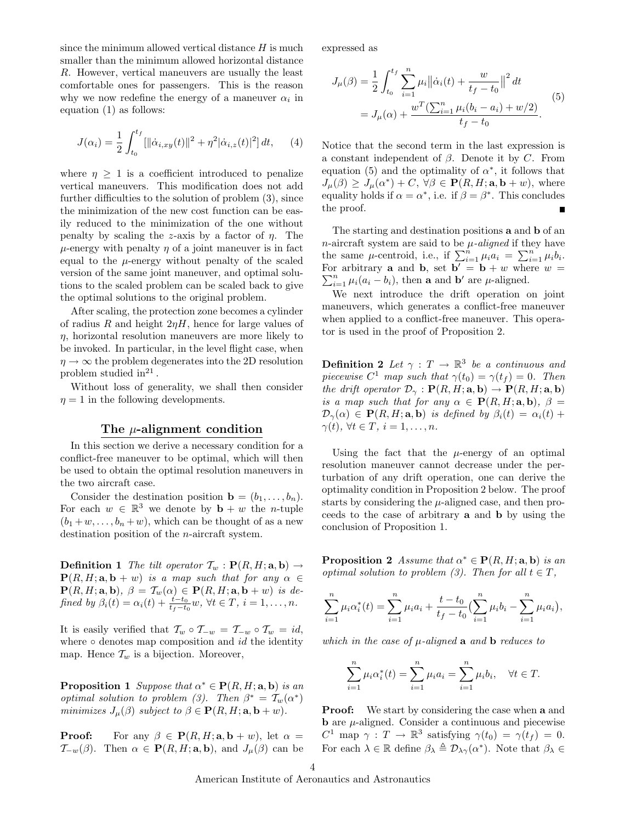since the minimum allowed vertical distance  $H$  is much smaller than the minimum allowed horizontal distance R. However, vertical maneuvers are usually the least comfortable ones for passengers. This is the reason why we now redefine the energy of a maneuver  $\alpha_i$  in equation (1) as follows:

$$
J(\alpha_i) = \frac{1}{2} \int_{t_0}^{t_f} [\|\dot{\alpha}_{i,xy}(t)\|^2 + \eta^2 |\dot{\alpha}_{i,z}(t)|^2] dt, \qquad (4)
$$

where  $\eta \geq 1$  is a coefficient introduced to penalize vertical maneuvers. This modification does not add further difficulties to the solution of problem (3), since the minimization of the new cost function can be easily reduced to the minimization of the one without penalty by scaling the z-axis by a factor of  $\eta$ . The  $\mu$ -energy with penalty  $\eta$  of a joint maneuver is in fact equal to the  $\mu$ -energy without penalty of the scaled version of the same joint maneuver, and optimal solutions to the scaled problem can be scaled back to give the optimal solutions to the original problem.

After scaling, the protection zone becomes a cylinder of radius R and height  $2\eta H$ , hence for large values of  $\eta$ , horizontal resolution maneuvers are more likely to be invoked. In particular, in the level flight case, when  $\eta \rightarrow \infty$  the problem degenerates into the 2D resolution problem studied  $in^{21}$ .

Without loss of generality, we shall then consider  $\eta = 1$  in the following developments.

# The  $\mu$ -alignment condition

In this section we derive a necessary condition for a conflict-free maneuver to be optimal, which will then be used to obtain the optimal resolution maneuvers in the two aircraft case.

Consider the destination position  $\mathbf{b} = (b_1, \ldots, b_n)$ . For each  $w \in \mathbb{R}^3$  we denote by  $\mathbf{b} + w$  the *n*-tuple  $(b_1 + w, \ldots, b_n + w)$ , which can be thought of as a new destination position of the n-aircraft system.

**Definition 1** The tilt operator  $\mathcal{T}_w$ :  $\mathbf{P}(R, H; \mathbf{a}, \mathbf{b}) \rightarrow$  $\mathbf{P}(R, H; \mathbf{a}, \mathbf{b} + w)$  is a map such that for any  $\alpha \in$  $\mathbf{P}(R, H; \mathbf{a}, \mathbf{b}), \ \beta = \mathcal{T}_{w}(\alpha) \in \mathbf{P}(R, H; \mathbf{a}, \mathbf{b} + w)$  is defined by  $\beta_i(t) = \alpha_i(t) + \frac{t-t_0}{t_f-t_0}w, \forall t \in T, i = 1, \ldots, n.$ 

It is easily verified that  $T_w \circ T_{-w} = T_{-w} \circ T_w = id$ , where  $\circ$  denotes map composition and *id* the identity map. Hence  $\mathcal{T}_w$  is a bijection. Moreover,

**Proposition 1** Suppose that  $\alpha^* \in \mathbf{P}(R, H; \mathbf{a}, \mathbf{b})$  is an optimal solution to problem (3). Then  $\beta^* = \mathcal{T}_w(\alpha^*)$ minimizes  $J_\mu(\beta)$  subject to  $\beta \in \mathbf{P}(R, H; \mathbf{a}, \mathbf{b} + w)$ .

**Proof:** For any  $\beta \in \mathbf{P}(R, H; \mathbf{a}, \mathbf{b} + w)$ , let  $\alpha =$  $\mathcal{T}_{-w}(\beta)$ . Then  $\alpha \in \mathbf{P}(R, H; \mathbf{a}, \mathbf{b})$ , and  $J_{\mu}(\beta)$  can be expressed as

$$
J_{\mu}(\beta) = \frac{1}{2} \int_{t_0}^{t_f} \sum_{i=1}^{n} \mu_i ||\dot{\alpha}_i(t) + \frac{w}{t_f - t_0}||^2 dt
$$
  
=  $J_{\mu}(\alpha) + \frac{w^T (\sum_{i=1}^{n} \mu_i (b_i - a_i) + w/2)}{t_f - t_0}.$  (5)

Notice that the second term in the last expression is a constant independent of  $\beta$ . Denote it by C. From equation (5) and the optimality of  $\alpha^*$ , it follows that  $J_{\mu}(\beta) \geq J_{\mu}(\alpha^*) + C$ ,  $\forall \beta \in \mathbf{P}(R, H; \mathbf{a}, \mathbf{b} + w)$ , where equality holds if  $\alpha = \alpha^*$ , i.e. if  $\beta = \beta^*$ . This concludes the proof.

The starting and destination positions a and b of an n-aircraft system are said to be  $\mu$ -aligned if they have the same  $\mu$ -centroid, i.e., if  $\sum_{i=1}^{n} \mu_i a_i = \sum_{i=1}^{n} \mu_i b_i$ . For arbitrary **a** and **b**, set  $\mathbf{b}' = \mathbf{b} + w$  where  $w =$  $\sum_{i=1}^{n} \mu_i (a_i - b_i)$ , then **a** and **b'** are  $\mu$ -aligned.

We next introduce the drift operation on joint maneuvers, which generates a conflict-free maneuver when applied to a conflict-free maneuver. This operator is used in the proof of Proposition 2.

**Definition 2** Let  $\gamma : T \to \mathbb{R}^3$  be a continuous and piecewise  $C^1$  map such that  $\gamma(t_0) = \gamma(t_f) = 0$ . Then the drift operator  $\mathcal{D}_{\gamma} : \mathbf{P}(R, H; \mathbf{a}, \mathbf{b}) \to \mathbf{P}(R, H; \mathbf{a}, \mathbf{b})$ is a map such that for any  $\alpha \in \mathbf{P}(R, H; \mathbf{a}, \mathbf{b}), \ \beta =$  $\mathcal{D}_{\gamma}(\alpha) \in \mathbf{P}(R, H; \mathbf{a}, \mathbf{b})$  is defined by  $\beta_i(t) = \alpha_i(t) +$  $\gamma(t), \forall t \in T, i = 1, \ldots, n.$ 

Using the fact that the  $\mu$ -energy of an optimal resolution maneuver cannot decrease under the perturbation of any drift operation, one can derive the optimality condition in Proposition 2 below. The proof starts by considering the  $\mu$ -aligned case, and then proceeds to the case of arbitrary a and b by using the conclusion of Proposition 1.

**Proposition 2** Assume that  $\alpha^* \in P(R, H; \mathbf{a}, \mathbf{b})$  is an optimal solution to problem (3). Then for all  $t \in T$ ,

$$
\sum_{i=1}^{n} \mu_i \alpha_i^*(t) = \sum_{i=1}^{n} \mu_i a_i + \frac{t - t_0}{t_f - t_0} \left( \sum_{i=1}^{n} \mu_i b_i - \sum_{i=1}^{n} \mu_i a_i \right),
$$

which in the case of  $\mu$ -aligned **a** and **b** reduces to

$$
\sum_{i=1}^{n} \mu_i \alpha_i^*(t) = \sum_{i=1}^{n} \mu_i a_i = \sum_{i=1}^{n} \mu_i b_i, \quad \forall t \in T.
$$

**Proof:** We start by considering the case when **a** and **b** are  $\mu$ -aligned. Consider a continuous and piecewise  $C^1$  map  $\gamma: T \to \mathbb{R}^3$  satisfying  $\gamma(t_0) = \gamma(t_f) = 0$ . For each  $\lambda \in \mathbb{R}$  define  $\beta_{\lambda} \triangleq \mathcal{D}_{\lambda\gamma}(\alpha^*)$ . Note that  $\beta_{\lambda} \in$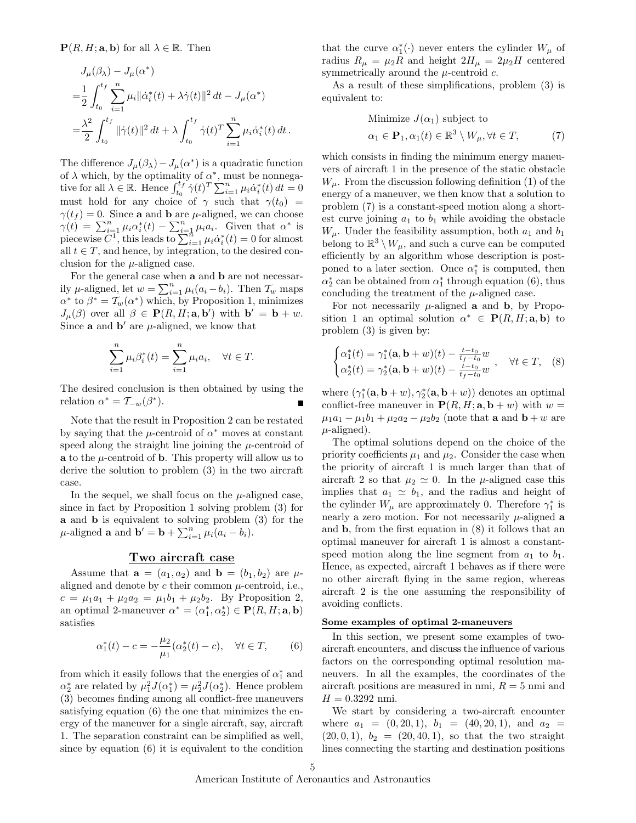$$
J_{\mu}(\beta_{\lambda}) - J_{\mu}(\alpha^{*})
$$
  
=  $\frac{1}{2} \int_{t_{0}}^{t_{f}} \sum_{i=1}^{n} \mu_{i} ||\dot{\alpha}_{i}^{*}(t) + \lambda \dot{\gamma}(t)||^{2} dt - J_{\mu}(\alpha^{*})$   
=  $\frac{\lambda^{2}}{2} \int_{t_{0}}^{t_{f}} ||\dot{\gamma}(t)||^{2} dt + \lambda \int_{t_{0}}^{t_{f}} \dot{\gamma}(t)^{T} \sum_{i=1}^{n} \mu_{i} \dot{\alpha}_{i}^{*}(t) dt.$ 

The difference  $J_{\mu}(\beta_{\lambda}) - J_{\mu}(\alpha^*)$  is a quadratic function of  $\lambda$  which, by the optimality of  $\alpha^*$ , must be nonnegative for all  $\lambda \in \mathbb{R}$ . Hence  $\int_{t_0}^{t_f} \dot{\gamma}(t)^T \sum_{i=1}^n \mu_i \dot{\alpha}_i^*(t) dt = 0$ must hold for any choice of  $\gamma$  such that  $\gamma(t_0)$  =  $\gamma(t_f) = 0$ . Since **a** and **b** are  $\mu$ -aligned, we can choose  $\gamma(t) = \sum_{i=1}^n \mu_i \alpha_i^*(t) - \sum_{i=1}^n \mu_i a_i$ . Given that  $\alpha^*$  is piecewise  $C^{\overline{1}}$ , this leads to  $\sum_{i=1}^{L} \mu_i \dot{\alpha}_i^*(t) = 0$  for almost all  $t \in T$ , and hence, by integration, to the desired conclusion for the  $\mu$ -aligned case.

For the general case when **a** and **b** are not necessarily  $\mu$ -aligned, let  $w = \sum_{i=1}^n \mu_i (a_i - b_i)$ . Then  $\mathcal{T}_w$  maps  $\alpha^*$  to  $\beta^* = \mathcal{T}_w(\alpha^*)$  which, by Proposition 1, minimizes  $J_{\mu}(\beta)$  over all  $\beta \in \mathbf{P}(R, H; \mathbf{a}, \mathbf{b}')$  with  $\mathbf{b}' = \mathbf{b} + w$ . Since **a** and  $\mathbf{b}'$  are  $\mu$ -aligned, we know that

$$
\sum_{i=1}^{n} \mu_i \beta_i^*(t) = \sum_{i=1}^{n} \mu_i a_i, \quad \forall t \in T.
$$

The desired conclusion is then obtained by using the relation  $\alpha^* = \mathcal{T}_{-w}(\beta^*)$ .

Note that the result in Proposition 2 can be restated by saying that the  $\mu$ -centroid of  $\alpha^*$  moves at constant speed along the straight line joining the  $\mu$ -centroid of **a** to the  $\mu$ -centroid of **b**. This property will allow us to derive the solution to problem (3) in the two aircraft case.

In the sequel, we shall focus on the  $\mu$ -aligned case, since in fact by Proposition 1 solving problem (3) for a and b is equivalent to solving problem (3) for the  $\mu$ -aligned **a** and **b**' = **b** +  $\sum_{i=1}^{n} \mu_i (a_i - b_i)$ .

## Two aircraft case

Assume that  $\mathbf{a} = (a_1, a_2)$  and  $\mathbf{b} = (b_1, b_2)$  are  $\mu$ aligned and denote by  $c$  their common  $\mu$ -centroid, i.e.,  $c = \mu_1 a_1 + \mu_2 a_2 = \mu_1 b_1 + \mu_2 b_2$ . By Proposition 2, an optimal 2-maneuver  $\alpha^* = (\alpha_1^*, \alpha_2^*) \in \mathbf{P}(R, H; \mathbf{a}, \mathbf{b})$ satisfies

$$
\alpha_1^*(t) - c = -\frac{\mu_2}{\mu_1} (\alpha_2^*(t) - c), \quad \forall t \in T,
$$
 (6)

from which it easily follows that the energies of  $\alpha_1^*$  and  $\alpha_2^*$  are related by  $\mu_1^2 J(\alpha_1^*) = \mu_2^2 J(\alpha_2^*)$ . Hence problem (3) becomes finding among all conflict-free maneuvers satisfying equation (6) the one that minimizes the energy of the maneuver for a single aircraft, say, aircraft 1. The separation constraint can be simplified as well, since by equation (6) it is equivalent to the condition

that the curve  $\alpha_1^*(\cdot)$  never enters the cylinder  $W_\mu$  of radius  $R_{\mu} = \mu_2 R$  and height  $2H_{\mu} = 2\mu_2 H$  centered symmetrically around the  $\mu$ -centroid  $c$ .

As a result of these simplifications, problem (3) is equivalent to:

Minimize 
$$
J(\alpha_1)
$$
 subject to  
\n
$$
\alpha_1 \in \mathbf{P}_1, \alpha_1(t) \in \mathbb{R}^3 \setminus W_\mu, \forall t \in T,
$$
\n(7)

which consists in finding the minimum energy maneuvers of aircraft 1 in the presence of the static obstacle  $W_{\mu}$ . From the discussion following definition (1) of the energy of a maneuver, we then know that a solution to problem (7) is a constant-speed motion along a shortest curve joining  $a_1$  to  $b_1$  while avoiding the obstacle  $W_u$ . Under the feasibility assumption, both  $a_1$  and  $b_1$ belong to  $\mathbb{R}^3 \setminus W_\mu$ , and such a curve can be computed efficiently by an algorithm whose description is postponed to a later section. Once  $\alpha_1^*$  is computed, then  $\alpha_2^*$  can be obtained from  $\alpha_1^*$  through equation (6), thus concluding the treatment of the  $\mu$ -aligned case.

For not necessarily  $\mu$ -aligned **a** and **b**, by Proposition 1 an optimal solution  $\alpha^* \in \mathbf{P}(R, H; \mathbf{a}, \mathbf{b})$  to problem (3) is given by:

$$
\begin{cases} \alpha_1^*(t) = \gamma_1^*(\mathbf{a}, \mathbf{b} + w)(t) - \frac{t - t_0}{t_f - t_0}w \\ \alpha_2^*(t) = \gamma_2^*(\mathbf{a}, \mathbf{b} + w)(t) - \frac{t - t_0}{t_f - t_0}w \end{cases}, \quad \forall t \in T, \quad (8)
$$

where  $(\gamma_1^*(\mathbf{a}, \mathbf{b} + w), \gamma_2^*(\mathbf{a}, \mathbf{b} + w))$  denotes an optimal conflict-free maneuver in  $\mathbf{P}(R, H; \mathbf{a}, \mathbf{b} + w)$  with  $w =$  $\mu_1 a_1 - \mu_1 b_1 + \mu_2 a_2 - \mu_2 b_2$  (note that **a** and **b** + w are  $\mu$ -aligned).

The optimal solutions depend on the choice of the priority coefficients  $\mu_1$  and  $\mu_2$ . Consider the case when the priority of aircraft 1 is much larger than that of aircraft 2 so that  $\mu_2 \simeq 0$ . In the  $\mu$ -aligned case this implies that  $a_1 \simeq b_1$ , and the radius and height of the cylinder  $W_{\mu}$  are approximately 0. Therefore  $\gamma_1^*$  is nearly a zero motion. For not necessarily  $\mu$ -aligned a and b, from the first equation in (8) it follows that an optimal maneuver for aircraft 1 is almost a constantspeed motion along the line segment from  $a_1$  to  $b_1$ . Hence, as expected, aircraft 1 behaves as if there were no other aircraft flying in the same region, whereas aircraft 2 is the one assuming the responsibility of avoiding conflicts.

#### Some examples of optimal 2-maneuvers

In this section, we present some examples of twoaircraft encounters, and discuss the influence of various factors on the corresponding optimal resolution maneuvers. In all the examples, the coordinates of the aircraft positions are measured in nmi,  $R = 5$  nmi and  $H = 0.3292$  nmi.

We start by considering a two-aircraft encounter where  $a_1 = (0, 20, 1), b_1 = (40, 20, 1),$  and  $a_2 =$  $(20, 0, 1), b_2 = (20, 40, 1),$  so that the two straight lines connecting the starting and destination positions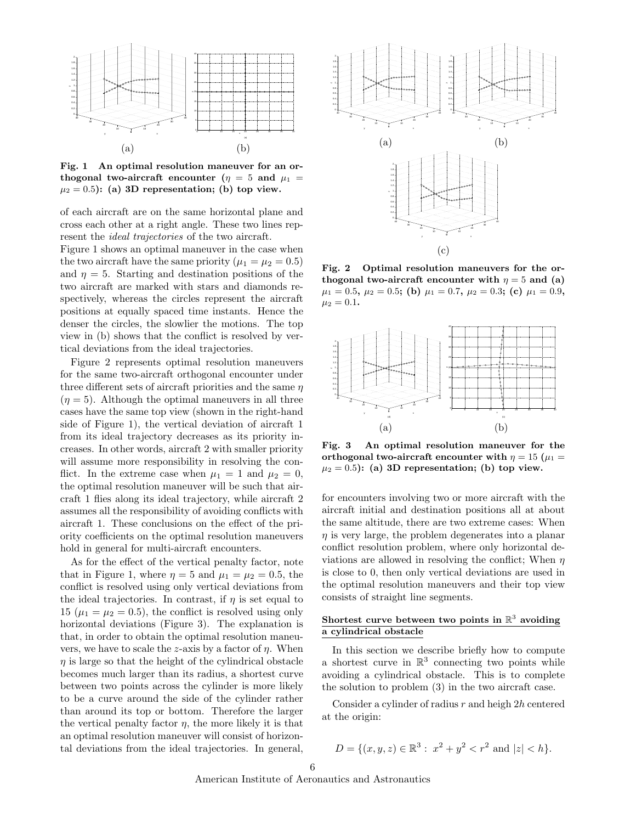

Fig. 1 An optimal resolution maneuver for an orthogonal two-aircraft encounter ( $\eta = 5$  and  $\mu_1 =$  $\mu_2 = 0.5$ ): (a) 3D representation; (b) top view.

of each aircraft are on the same horizontal plane and cross each other at a right angle. These two lines represent the ideal trajectories of the two aircraft.

Figure 1 shows an optimal maneuver in the case when the two aircraft have the same priority ( $\mu_1 = \mu_2 = 0.5$ ) and  $\eta = 5$ . Starting and destination positions of the two aircraft are marked with stars and diamonds respectively, whereas the circles represent the aircraft positions at equally spaced time instants. Hence the denser the circles, the slowlier the motions. The top view in (b) shows that the conflict is resolved by vertical deviations from the ideal trajectories.

Figure 2 represents optimal resolution maneuvers for the same two-aircraft orthogonal encounter under three different sets of aircraft priorities and the same  $\eta$  $(\eta = 5)$ . Although the optimal maneuvers in all three cases have the same top view (shown in the right-hand side of Figure 1), the vertical deviation of aircraft 1 from its ideal trajectory decreases as its priority increases. In other words, aircraft 2 with smaller priority will assume more responsibility in resolving the conflict. In the extreme case when  $\mu_1 = 1$  and  $\mu_2 = 0$ , the optimal resolution maneuver will be such that aircraft 1 flies along its ideal trajectory, while aircraft 2 assumes all the responsibility of avoiding conflicts with aircraft 1. These conclusions on the effect of the priority coefficients on the optimal resolution maneuvers hold in general for multi-aircraft encounters.

As for the effect of the vertical penalty factor, note that in Figure 1, where  $\eta = 5$  and  $\mu_1 = \mu_2 = 0.5$ , the conflict is resolved using only vertical deviations from the ideal trajectories. In contrast, if  $\eta$  is set equal to 15 ( $\mu_1 = \mu_2 = 0.5$ ), the conflict is resolved using only horizontal deviations (Figure 3). The explanation is that, in order to obtain the optimal resolution maneuvers, we have to scale the z-axis by a factor of  $\eta$ . When  $\eta$  is large so that the height of the cylindrical obstacle becomes much larger than its radius, a shortest curve between two points across the cylinder is more likely to be a curve around the side of the cylinder rather than around its top or bottom. Therefore the larger the vertical penalty factor  $\eta$ , the more likely it is that an optimal resolution maneuver will consist of horizontal deviations from the ideal trajectories. In general,



Fig. 2 Optimal resolution maneuvers for the orthogonal two-aircraft encounter with  $\eta = 5$  and (a)  $\mu_1 = 0.5, \mu_2 = 0.5;$  (b)  $\mu_1 = 0.7, \mu_2 = 0.3;$  (c)  $\mu_1 = 0.9,$  $\mu_2 = 0.1$ .



Fig. 3 An optimal resolution maneuver for the orthogonal two-aircraft encounter with  $\eta = 15$  ( $\mu_1 =$  $\mu_2 = 0.5$ : (a) 3D representation; (b) top view.

for encounters involving two or more aircraft with the aircraft initial and destination positions all at about the same altitude, there are two extreme cases: When  $\eta$  is very large, the problem degenerates into a planar conflict resolution problem, where only horizontal deviations are allowed in resolving the conflict; When  $\eta$ is close to 0, then only vertical deviations are used in the optimal resolution maneuvers and their top view consists of straight line segments.

## Shortest curve between two points in  $\mathbb{R}^3$  avoiding a cylindrical obstacle

In this section we describe briefly how to compute a shortest curve in  $\mathbb{R}^3$  connecting two points while avoiding a cylindrical obstacle. This is to complete the solution to problem (3) in the two aircraft case.

Consider a cylinder of radius  $r$  and heigh  $2h$  centered at the origin:

$$
D = \{(x, y, z) \in \mathbb{R}^3 : x^2 + y^2 < r^2 \text{ and } |z| < h\}.
$$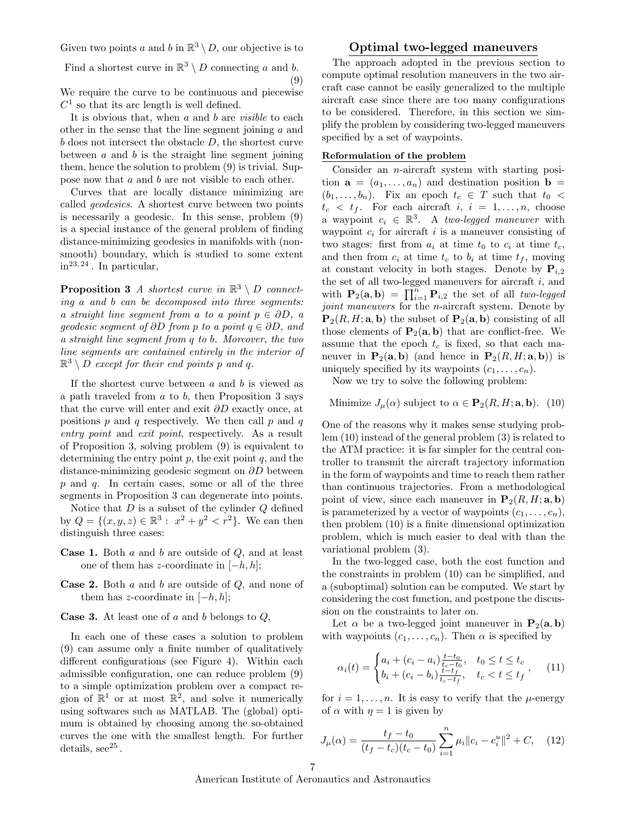Given two points a and b in  $\mathbb{R}^3 \setminus D$ , our objective is to

Find a shortest curve in  $\mathbb{R}^3 \setminus D$  connecting a and b. (9)

We require the curve to be continuous and piecewise  $C<sup>1</sup>$  so that its arc length is well defined.

It is obvious that, when  $a$  and  $b$  are *visible* to each other in the sense that the line segment joining  $a$  and  $b$  does not intersect the obstacle  $D$ , the shortest curve between  $a$  and  $b$  is the straight line segment joining them, hence the solution to problem (9) is trivial. Suppose now that a and b are not visible to each other.

Curves that are locally distance minimizing are called geodesics. A shortest curve between two points is necessarily a geodesic. In this sense, problem (9) is a special instance of the general problem of finding distance-minimizing geodesics in manifolds with (nonsmooth) boundary, which is studied to some extent  $in^{23, 24}$ . In particular,

**Proposition 3** A shortest curve in  $\mathbb{R}^3 \setminus D$  connecting a and b can be decomposed into three segments: a straight line segment from a to a point  $p \in \partial D$ , a geodesic segment of ∂D from p to a point  $q \in \partial D$ , and a straight line segment from q to b. Moreover, the two line segments are contained entirely in the interior of  $\mathbb{R}^3 \setminus D$  except for their end points p and q.

If the shortest curve between  $a$  and  $b$  is viewed as a path traveled from  $a$  to  $b$ , then Proposition 3 says that the curve will enter and exit  $\partial D$  exactly once, at positions  $p$  and  $q$  respectively. We then call  $p$  and  $q$ entry point and exit point, respectively. As a result of Proposition 3, solving problem (9) is equivalent to determining the entry point  $p$ , the exit point  $q$ , and the distance-minimizing geodesic segment on  $\partial D$  between  $p$  and  $q$ . In certain cases, some or all of the three segments in Proposition 3 can degenerate into points.

Notice that  $D$  is a subset of the cylinder  $Q$  defined by  $Q = \{(x, y, z) \in \mathbb{R}^3 : x^2 + y^2 < r^2\}$ . We can then distinguish three cases:

- **Case 1.** Both  $a$  and  $b$  are outside of  $Q$ , and at least one of them has z-coordinate in  $[-h, h]$ ;
- **Case 2.** Both  $a$  and  $b$  are outside of  $Q$ , and none of them has z-coordinate in  $[-h, h]$ ;
- **Case 3.** At least one of  $a$  and  $b$  belongs to  $Q$ ,

In each one of these cases a solution to problem (9) can assume only a finite number of qualitatively different configurations (see Figure 4). Within each admissible configuration, one can reduce problem (9) to a simple optimization problem over a compact region of  $\mathbb{R}^1$  or at most  $\mathbb{R}^2$ , and solve it numerically using softwares such as MATLAB. The (global) optimum is obtained by choosing among the so-obtained curves the one with the smallest length. For further details,  $\sec^{25}$ .

## Optimal two-legged maneuvers

The approach adopted in the previous section to compute optimal resolution maneuvers in the two aircraft case cannot be easily generalized to the multiple aircraft case since there are too many configurations to be considered. Therefore, in this section we simplify the problem by considering two-legged maneuvers specified by a set of waypoints.

### Reformulation of the problem

Consider an n-aircraft system with starting position  $\mathbf{a} = (a_1, \ldots, a_n)$  and destination position  $\mathbf{b} =$  $(b_1, \ldots, b_n)$ . Fix an epoch  $t_c \in T$  such that  $t_0$  <  $t_c < t_f$ . For each aircraft i,  $i = 1, \ldots, n$ , choose a waypoint  $c_i \in \mathbb{R}^3$ . A two-legged maneuver with waypoint  $c_i$  for aircraft i is a maneuver consisting of two stages: first from  $a_i$  at time  $t_0$  to  $c_i$  at time  $t_c$ , and then from  $c_i$  at time  $t_c$  to  $b_i$  at time  $t_f$ , moving at constant velocity in both stages. Denote by  $P_{i,2}$ the set of all two-legged maneuvers for aircraft  $i$ , and with  $\mathbf{P}_2(\mathbf{a}, \mathbf{b}) = \prod_{i=1}^{n} \mathbf{P}_{i,2}$  the set of all two-legged joint maneuvers for the n-aircraft system. Denote by  ${\bf P}_2(R, H; {\bf a}, {\bf b})$  the subset of  ${\bf P}_2({\bf a}, {\bf b})$  consisting of all those elements of  $P_2(a, b)$  that are conflict-free. We assume that the epoch  $t_c$  is fixed, so that each maneuver in  $P_2(a, b)$  (and hence in  $P_2(R, H; a, b)$ ) is uniquely specified by its waypoints  $(c_1, \ldots, c_n)$ .

Now we try to solve the following problem:

Minimize  $J_\mu(\alpha)$  subject to  $\alpha \in \mathbf{P}_2(R, H; \mathbf{a}, \mathbf{b})$ . (10)

One of the reasons why it makes sense studying problem (10) instead of the general problem (3) is related to the ATM practice: it is far simpler for the central controller to transmit the aircraft trajectory information in the form of waypoints and time to reach them rather than continuous trajectories. From a methodological point of view, since each maneuver in  $P_2(R, H; \mathbf{a}, \mathbf{b})$ is parameterized by a vector of waypoints  $(c_1, \ldots, c_n)$ , then problem (10) is a finite dimensional optimization problem, which is much easier to deal with than the variational problem (3).

In the two-legged case, both the cost function and the constraints in problem (10) can be simplified, and a (suboptimal) solution can be computed. We start by considering the cost function, and postpone the discussion on the constraints to later on.

Let  $\alpha$  be a two-legged joint maneuver in  $P_2(a, b)$ with waypoints  $(c_1, \ldots, c_n)$ . Then  $\alpha$  is specified by

$$
\alpha_i(t) = \begin{cases} a_i + (c_i - a_i) \frac{t - t_0}{t_c - t_0}, & t_0 \le t \le t_c \\ b_i + (c_i - b_i) \frac{t - t_f}{t_c - t_f}, & t_c < t \le t_f \end{cases}, \quad (11)
$$

for  $i = 1, \ldots, n$ . It is easy to verify that the  $\mu$ -energy of  $\alpha$  with  $\eta = 1$  is given by

$$
J_{\mu}(\alpha) = \frac{t_f - t_0}{(t_f - t_c)(t_c - t_0)} \sum_{i=1}^{n} \mu_i \|c_i - c_i^u\|^2 + C, \quad (12)
$$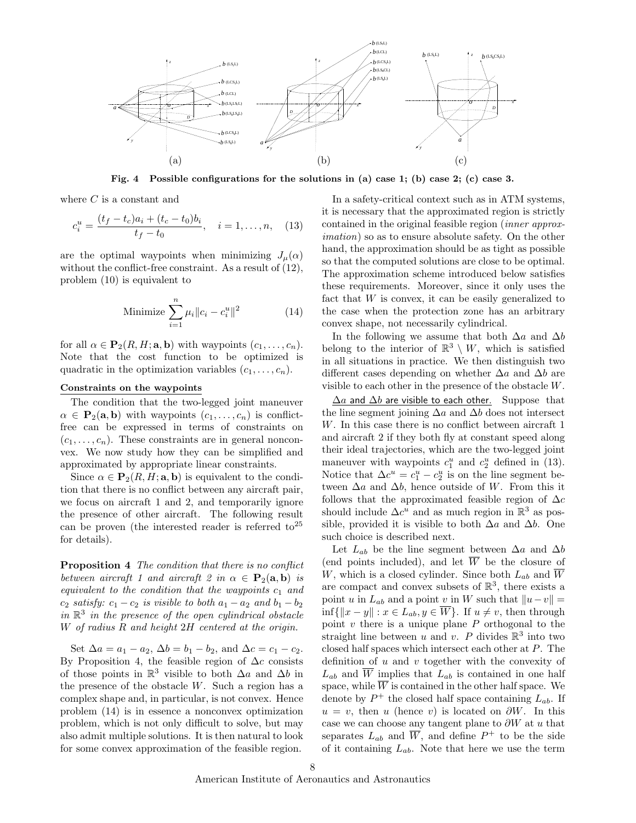

Fig. 4 Possible configurations for the solutions in (a) case 1; (b) case 2; (c) case 3.

where  $C$  is a constant and

$$
c_i^u = \frac{(t_f - t_c)a_i + (t_c - t_0)b_i}{t_f - t_0}, \quad i = 1, \dots, n, \quad (13)
$$

are the optimal waypoints when minimizing  $J_{\mu}(\alpha)$ without the conflict-free constraint. As a result of  $(12)$ , problem (10) is equivalent to

Minimize 
$$
\sum_{i=1}^{n} \mu_i ||c_i - c_i^u||^2
$$
 (14)

for all  $\alpha \in \mathbf{P}_2(R, H; \mathbf{a}, \mathbf{b})$  with waypoints  $(c_1, \ldots, c_n)$ . Note that the cost function to be optimized is quadratic in the optimization variables  $(c_1, \ldots, c_n)$ .

### Constraints on the waypoints

The condition that the two-legged joint maneuver  $\alpha \in \mathbf{P}_2(\mathbf{a}, \mathbf{b})$  with waypoints  $(c_1, \ldots, c_n)$  is conflictfree can be expressed in terms of constraints on  $(c_1, \ldots, c_n)$ . These constraints are in general nonconvex. We now study how they can be simplified and approximated by appropriate linear constraints.

Since  $\alpha \in \mathbf{P}_2(R, H; \mathbf{a}, \mathbf{b})$  is equivalent to the condition that there is no conflict between any aircraft pair, we focus on aircraft 1 and 2, and temporarily ignore the presence of other aircraft. The following result can be proven (the interested reader is referred  $\mathrm{to}^{25}$ for details).

Proposition 4 The condition that there is no conflict between aircraft 1 and aircraft 2 in  $\alpha \in \mathbf{P}_2(\mathbf{a}, \mathbf{b})$  is equivalent to the condition that the waypoints  $c_1$  and  $c_2$  satisfy:  $c_1 - c_2$  is visible to both  $a_1 - a_2$  and  $b_1 - b_2$ in  $\mathbb{R}^3$  in the presence of the open cylindrical obstacle W of radius R and height 2H centered at the origin.

Set  $\Delta a = a_1 - a_2$ ,  $\Delta b = b_1 - b_2$ , and  $\Delta c = c_1 - c_2$ . By Proposition 4, the feasible region of  $\Delta c$  consists of those points in  $\mathbb{R}^3$  visible to both  $\Delta a$  and  $\Delta b$  in the presence of the obstacle  $W$ . Such a region has a complex shape and, in particular, is not convex. Hence problem (14) is in essence a nonconvex optimization problem, which is not only difficult to solve, but may also admit multiple solutions. It is then natural to look for some convex approximation of the feasible region.

In a safety-critical context such as in ATM systems, it is necessary that the approximated region is strictly contained in the original feasible region (inner approximation) so as to ensure absolute safety. On the other hand, the approximation should be as tight as possible so that the computed solutions are close to be optimal. The approximation scheme introduced below satisfies these requirements. Moreover, since it only uses the fact that  $W$  is convex, it can be easily generalized to the case when the protection zone has an arbitrary convex shape, not necessarily cylindrical.

In the following we assume that both  $\Delta a$  and  $\Delta b$ belong to the interior of  $\mathbb{R}^3 \setminus W$ , which is satisfied in all situations in practice. We then distinguish two different cases depending on whether  $\Delta a$  and  $\Delta b$  are visible to each other in the presence of the obstacle W.

 $\Delta a$  and  $\Delta b$  are visible to each other. Suppose that the line segment joining  $\Delta a$  and  $\Delta b$  does not intersect W. In this case there is no conflict between aircraft 1 and aircraft 2 if they both fly at constant speed along their ideal trajectories, which are the two-legged joint maneuver with waypoints  $c_1^u$  and  $c_2^u$  defined in (13). Notice that  $\Delta c^u = c_1^u - c_2^u$  is on the line segment between  $\Delta a$  and  $\Delta b$ , hence outside of W. From this it follows that the approximated feasible region of  $\Delta c$ should include  $\Delta c^u$  and as much region in  $\mathbb{R}^3$  as possible, provided it is visible to both  $\Delta a$  and  $\Delta b$ . One such choice is described next.

Let  $L_{ab}$  be the line segment between  $\Delta a$  and  $\Delta b$ (end points included), and let  $\overline{W}$  be the closure of W, which is a closed cylinder. Since both  $L_{ab}$  and  $\overline{W}$ are compact and convex subsets of  $\mathbb{R}^3$ , there exists a point u in  $L_{ab}$  and a point v in W such that  $||u-v|| =$  $\inf\{\|x-y\|: x\in L_{ab}, y\in \overline{W}\}.$  If  $u\neq v$ , then through point  $v$  there is a unique plane  $P$  orthogonal to the straight line between u and v. P divides  $\mathbb{R}^3$  into two closed half spaces which intersect each other at P. The definition of  $u$  and  $v$  together with the convexity of  $L_{ab}$  and  $\overline{W}$  implies that  $L_{ab}$  is contained in one half space, while  $\overline{W}$  is contained in the other half space. We denote by  $P^+$  the closed half space containing  $L_{ab}$ . If  $u = v$ , then u (hence v) is located on  $\partial W$ . In this case we can choose any tangent plane to  $\partial W$  at u that separates  $L_{ab}$  and  $\overline{W}$ , and define  $P^+$  to be the side of it containing  $L_{ab}$ . Note that here we use the term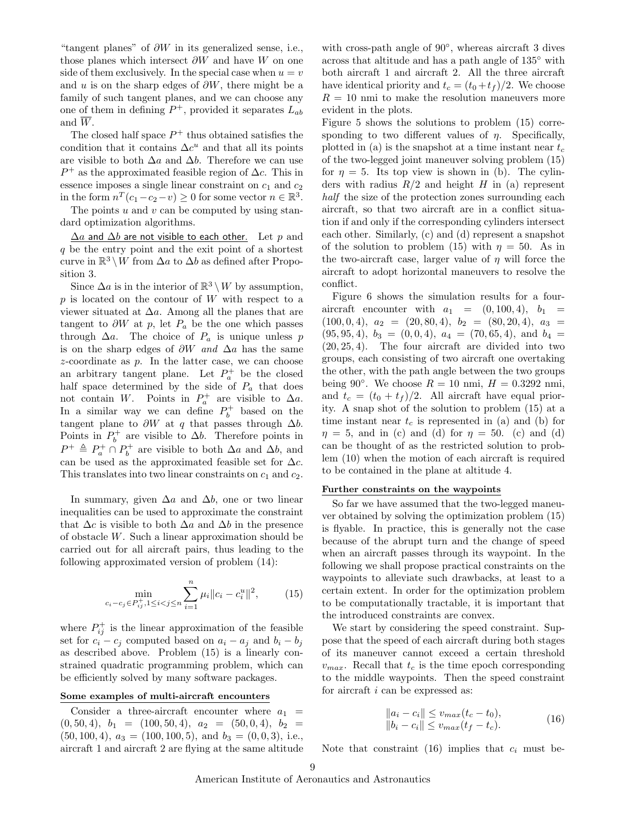"tangent planes" of  $\partial W$  in its generalized sense, i.e., those planes which intersect  $\partial W$  and have W on one side of them exclusively. In the special case when  $u = v$ and u is on the sharp edges of  $\partial W$ , there might be a family of such tangent planes, and we can choose any one of them in defining  $P^+$ , provided it separates  $L_{ab}$ and  $\overline{W}$ .

The closed half space  $P^+$  thus obtained satisfies the condition that it contains  $\Delta c^u$  and that all its points are visible to both  $\Delta a$  and  $\Delta b$ . Therefore we can use  $P^+$  as the approximated feasible region of  $\Delta c$ . This in essence imposes a single linear constraint on  $c_1$  and  $c_2$ in the form  $n^T(c_1-c_2-v) \geq 0$  for some vector  $n \in \mathbb{R}^3$ .

The points  $u$  and  $v$  can be computed by using standard optimization algorithms.

 $\Delta a$  and  $\Delta b$  are not visible to each other. Let p and q be the entry point and the exit point of a shortest curve in  $\mathbb{R}^3 \setminus W$  from  $\Delta a$  to  $\Delta b$  as defined after Proposition 3.

Since  $\Delta a$  is in the interior of  $\mathbb{R}^3 \setminus W$  by assumption,  $p$  is located on the contour of  $W$  with respect to a viewer situated at  $\Delta a$ . Among all the planes that are tangent to  $\partial W$  at p, let  $P_a$  be the one which passes through  $\Delta a$ . The choice of  $P_a$  is unique unless p is on the sharp edges of  $\partial W$  and  $\Delta a$  has the same z-coordinate as p. In the latter case, we can choose an arbitrary tangent plane. Let  $P_a^+$  be the closed half space determined by the side of  $P_a$  that does not contain W. Points in  $P_a^+$  are visible to  $\Delta a$ . In a similar way we can define  $P_b^+$  based on the tangent plane to  $\partial W$  at q that passes through  $\Delta b$ . Points in  $P_b^+$  are visible to  $\Delta b$ . Therefore points in  $P^+ \triangleq P_a^+ \cap P_b^+$  are visible to both  $\Delta a$  and  $\Delta b$ , and can be used as the approximated feasible set for  $\Delta c$ . This translates into two linear constraints on  $c_1$  and  $c_2$ .

In summary, given  $\Delta a$  and  $\Delta b$ , one or two linear inequalities can be used to approximate the constraint that  $\Delta c$  is visible to both  $\Delta a$  and  $\Delta b$  in the presence of obstacle W. Such a linear approximation should be carried out for all aircraft pairs, thus leading to the following approximated version of problem (14):

$$
\min_{c_i - c_j \in P_{ij}^+, 1 \le i < j \le n} \sum_{i=1}^n \mu_i \|c_i - c_i^u\|^2,\tag{15}
$$

where  $P_{ij}^{+}$  is the linear approximation of the feasible set for  $c_i - c_j$  computed based on  $a_i - a_j$  and  $b_i - b_j$ as described above. Problem (15) is a linearly constrained quadratic programming problem, which can be efficiently solved by many software packages.

#### Some examples of multi-aircraft encounters

Consider a three-aircraft encounter where  $a_1$  =  $(0, 50, 4), b_1 = (100, 50, 4), a_2 = (50, 0, 4), b_2 =$  $(50, 100, 4), a_3 = (100, 100, 5), \text{ and } b_3 = (0, 0, 3), \text{ i.e.,}$ aircraft 1 and aircraft 2 are flying at the same altitude

with cross-path angle of 90°, whereas aircraft 3 dives across that altitude and has a path angle of 135◦ with both aircraft 1 and aircraft 2. All the three aircraft have identical priority and  $t_c = (t_0 + t_f)/2$ . We choose  $R = 10$  nmi to make the resolution maneuvers more evident in the plots.

Figure 5 shows the solutions to problem (15) corresponding to two different values of  $\eta$ . Specifically, plotted in (a) is the snapshot at a time instant near  $t_c$ of the two-legged joint maneuver solving problem (15) for  $\eta = 5$ . Its top view is shown in (b). The cylinders with radius  $R/2$  and height H in (a) represent half the size of the protection zones surrounding each aircraft, so that two aircraft are in a conflict situation if and only if the corresponding cylinders intersect each other. Similarly, (c) and (d) represent a snapshot of the solution to problem (15) with  $\eta = 50$ . As in the two-aircraft case, larger value of  $\eta$  will force the aircraft to adopt horizontal maneuvers to resolve the conflict.

Figure 6 shows the simulation results for a fouraircraft encounter with  $a_1 = (0, 100, 4), b_1 =$  $(100, 0, 4), a_2 = (20, 80, 4), b_2 = (80, 20, 4), a_3 =$  $(95, 95, 4), b_3 = (0, 0, 4), a_4 = (70, 65, 4), \text{ and } b_4 =$ (20, 25, 4). The four aircraft are divided into two groups, each consisting of two aircraft one overtaking the other, with the path angle between the two groups being 90°. We choose  $R = 10$  nmi,  $H = 0.3292$  nmi, and  $t_c = (t_0 + t_f)/2$ . All aircraft have equal priority. A snap shot of the solution to problem (15) at a time instant near  $t_c$  is represented in (a) and (b) for  $\eta = 5$ , and in (c) and (d) for  $\eta = 50$ . (c) and (d) can be thought of as the restricted solution to problem (10) when the motion of each aircraft is required to be contained in the plane at altitude 4.

#### Further constraints on the waypoints

So far we have assumed that the two-legged maneuver obtained by solving the optimization problem (15) is flyable. In practice, this is generally not the case because of the abrupt turn and the change of speed when an aircraft passes through its waypoint. In the following we shall propose practical constraints on the waypoints to alleviate such drawbacks, at least to a certain extent. In order for the optimization problem to be computationally tractable, it is important that the introduced constraints are convex.

We start by considering the speed constraint. Suppose that the speed of each aircraft during both stages of its maneuver cannot exceed a certain threshold  $v_{max}$ . Recall that  $t_c$  is the time epoch corresponding to the middle waypoints. Then the speed constraint for aircraft i can be expressed as:

$$
||a_i - c_i|| \le v_{max}(t_c - t_0),||b_i - c_i|| \le v_{max}(t_f - t_c).
$$
 (16)

Note that constraint (16) implies that  $c_i$  must be-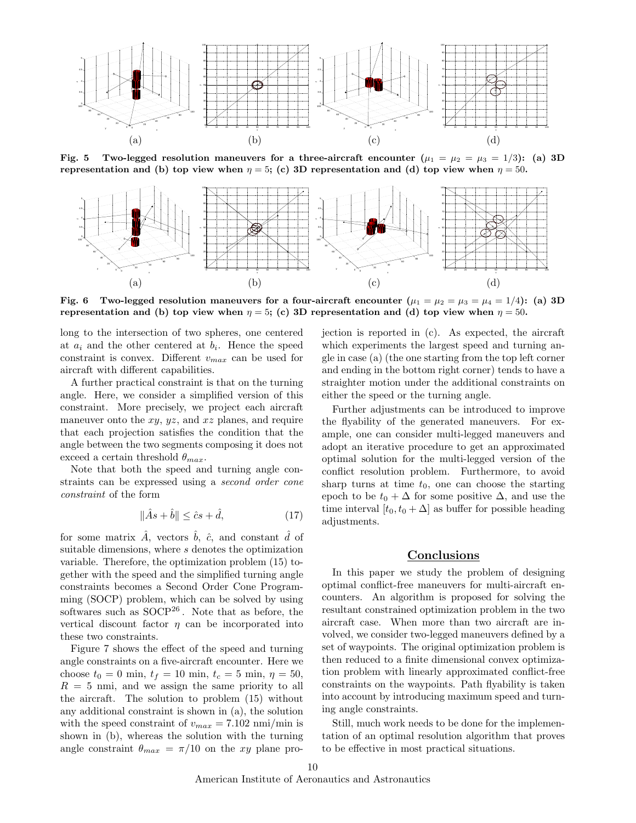

Fig. 5 Two-legged resolution maneuvers for a three-aircraft encounter  $(\mu_1 = \mu_2 = \mu_3 = 1/3)$ : (a) 3D representation and (b) top view when  $\eta = 5$ ; (c) 3D representation and (d) top view when  $\eta = 50$ .



Fig. 6 Two-legged resolution maneuvers for a four-aircraft encounter  $(\mu_1 = \mu_2 = \mu_3 = \mu_4 = 1/4)$ : (a) 3D representation and (b) top view when  $\eta = 5$ ; (c) 3D representation and (d) top view when  $\eta = 50$ .

long to the intersection of two spheres, one centered at  $a_i$  and the other centered at  $b_i$ . Hence the speed constraint is convex. Different  $v_{max}$  can be used for aircraft with different capabilities.

A further practical constraint is that on the turning angle. Here, we consider a simplified version of this constraint. More precisely, we project each aircraft maneuver onto the  $xy$ ,  $yz$ , and  $xz$  planes, and require that each projection satisfies the condition that the angle between the two segments composing it does not exceed a certain threshold  $\theta_{max}$ .

Note that both the speed and turning angle constraints can be expressed using a second order cone constraint of the form

$$
\|\hat{A}s + \hat{b}\| \leq \hat{c}s + \hat{d},\tag{17}
$$

for some matrix  $\hat{A}$ , vectors  $\hat{b}$ ,  $\hat{c}$ , and constant  $\hat{d}$  of suitable dimensions, where s denotes the optimization variable. Therefore, the optimization problem (15) together with the speed and the simplified turning angle constraints becomes a Second Order Cone Programming (SOCP) problem, which can be solved by using softwares such as SOCP<sup>26</sup> . Note that as before, the vertical discount factor  $\eta$  can be incorporated into these two constraints.

Figure 7 shows the effect of the speed and turning angle constraints on a five-aircraft encounter. Here we choose  $t_0 = 0$  min,  $t_f = 10$  min,  $t_c = 5$  min,  $\eta = 50$ ,  $R = 5$  nmi, and we assign the same priority to all the aircraft. The solution to problem (15) without any additional constraint is shown in (a), the solution with the speed constraint of  $v_{max} = 7.102$  nmi/min is shown in (b), whereas the solution with the turning angle constraint  $\theta_{max} = \pi/10$  on the xy plane projection is reported in (c). As expected, the aircraft which experiments the largest speed and turning angle in case (a) (the one starting from the top left corner and ending in the bottom right corner) tends to have a straighter motion under the additional constraints on either the speed or the turning angle.

Further adjustments can be introduced to improve the flyability of the generated maneuvers. For example, one can consider multi-legged maneuvers and adopt an iterative procedure to get an approximated optimal solution for the multi-legged version of the conflict resolution problem. Furthermore, to avoid sharp turns at time  $t_0$ , one can choose the starting epoch to be  $t_0 + \Delta$  for some positive  $\Delta$ , and use the time interval  $[t_0, t_0 + \Delta]$  as buffer for possible heading adjustments.

# Conclusions

In this paper we study the problem of designing optimal conflict-free maneuvers for multi-aircraft encounters. An algorithm is proposed for solving the resultant constrained optimization problem in the two aircraft case. When more than two aircraft are involved, we consider two-legged maneuvers defined by a set of waypoints. The original optimization problem is then reduced to a finite dimensional convex optimization problem with linearly approximated conflict-free constraints on the waypoints. Path flyability is taken into account by introducing maximum speed and turning angle constraints.

Still, much work needs to be done for the implementation of an optimal resolution algorithm that proves to be effective in most practical situations.